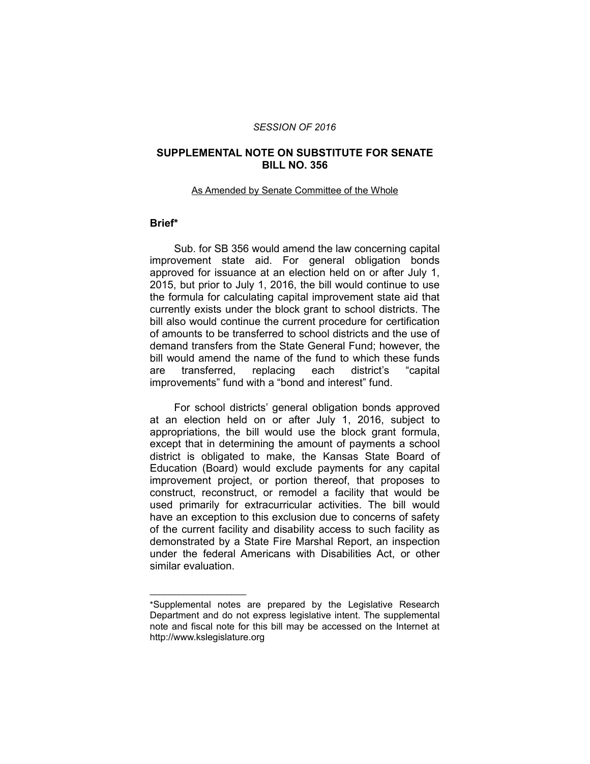### *SESSION OF 2016*

## **SUPPLEMENTAL NOTE ON SUBSTITUTE FOR SENATE BILL NO. 356**

### As Amended by Senate Committee of the Whole

# **Brief\***

Sub. for SB 356 would amend the law concerning capital improvement state aid. For general obligation bonds approved for issuance at an election held on or after July 1, 2015, but prior to July 1, 2016, the bill would continue to use the formula for calculating capital improvement state aid that currently exists under the block grant to school districts. The bill also would continue the current procedure for certification of amounts to be transferred to school districts and the use of demand transfers from the State General Fund; however, the bill would amend the name of the fund to which these funds are transferred, replacing each district's "capital improvements" fund with a "bond and interest" fund.

For school districts' general obligation bonds approved at an election held on or after July 1, 2016, subject to appropriations, the bill would use the block grant formula, except that in determining the amount of payments a school district is obligated to make, the Kansas State Board of Education (Board) would exclude payments for any capital improvement project, or portion thereof, that proposes to construct, reconstruct, or remodel a facility that would be used primarily for extracurricular activities. The bill would have an exception to this exclusion due to concerns of safety of the current facility and disability access to such facility as demonstrated by a State Fire Marshal Report, an inspection under the federal Americans with Disabilities Act, or other similar evaluation.

 $\overline{\phantom{a}}$  , where  $\overline{\phantom{a}}$  , where  $\overline{\phantom{a}}$ 

<sup>\*</sup>Supplemental notes are prepared by the Legislative Research Department and do not express legislative intent. The supplemental note and fiscal note for this bill may be accessed on the Internet at http://www.kslegislature.org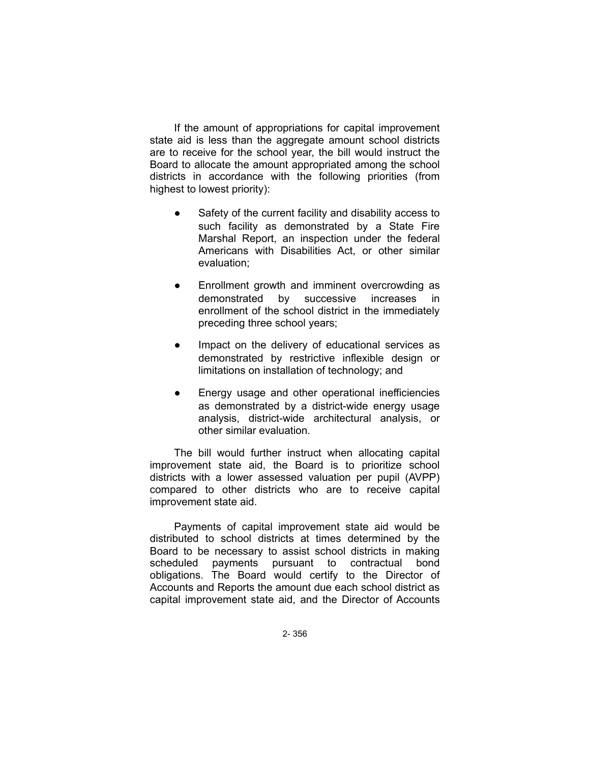If the amount of appropriations for capital improvement state aid is less than the aggregate amount school districts are to receive for the school year, the bill would instruct the Board to allocate the amount appropriated among the school districts in accordance with the following priorities (from highest to lowest priority):

- Safety of the current facility and disability access to such facility as demonstrated by a State Fire Marshal Report, an inspection under the federal Americans with Disabilities Act, or other similar evaluation;
- Enrollment growth and imminent overcrowding as demonstrated by successive increases in enrollment of the school district in the immediately preceding three school years;
- Impact on the delivery of educational services as demonstrated by restrictive inflexible design or limitations on installation of technology; and
- Energy usage and other operational inefficiencies as demonstrated by a district-wide energy usage analysis, district-wide architectural analysis, or other similar evaluation.

The bill would further instruct when allocating capital improvement state aid, the Board is to prioritize school districts with a lower assessed valuation per pupil (AVPP) compared to other districts who are to receive capital improvement state aid.

Payments of capital improvement state aid would be distributed to school districts at times determined by the Board to be necessary to assist school districts in making scheduled payments pursuant to contractual bond obligations. The Board would certify to the Director of Accounts and Reports the amount due each school district as capital improvement state aid, and the Director of Accounts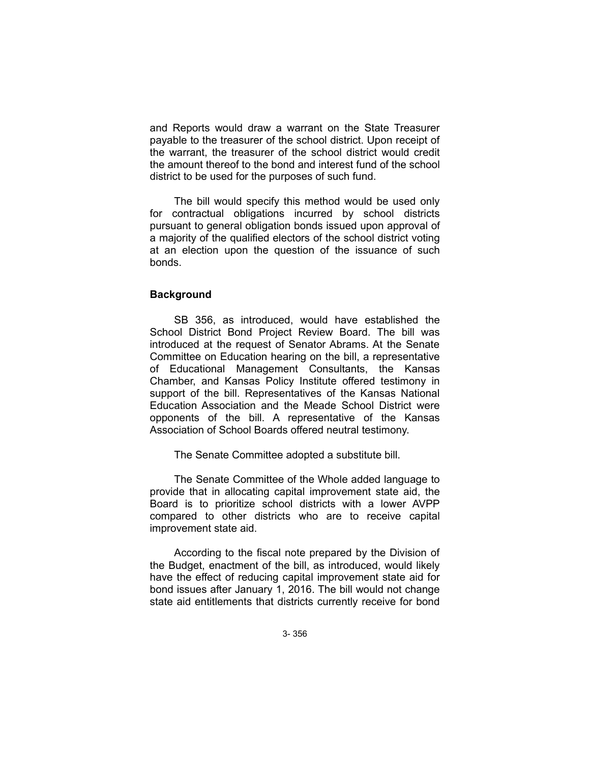and Reports would draw a warrant on the State Treasurer payable to the treasurer of the school district. Upon receipt of the warrant, the treasurer of the school district would credit the amount thereof to the bond and interest fund of the school district to be used for the purposes of such fund.

The bill would specify this method would be used only for contractual obligations incurred by school districts pursuant to general obligation bonds issued upon approval of a majority of the qualified electors of the school district voting at an election upon the question of the issuance of such bonds.

## **Background**

SB 356, as introduced, would have established the School District Bond Project Review Board. The bill was introduced at the request of Senator Abrams. At the Senate Committee on Education hearing on the bill, a representative of Educational Management Consultants, the Kansas Chamber, and Kansas Policy Institute offered testimony in support of the bill. Representatives of the Kansas National Education Association and the Meade School District were opponents of the bill. A representative of the Kansas Association of School Boards offered neutral testimony.

The Senate Committee adopted a substitute bill.

The Senate Committee of the Whole added language to provide that in allocating capital improvement state aid, the Board is to prioritize school districts with a lower AVPP compared to other districts who are to receive capital improvement state aid.

According to the fiscal note prepared by the Division of the Budget, enactment of the bill, as introduced, would likely have the effect of reducing capital improvement state aid for bond issues after January 1, 2016. The bill would not change state aid entitlements that districts currently receive for bond